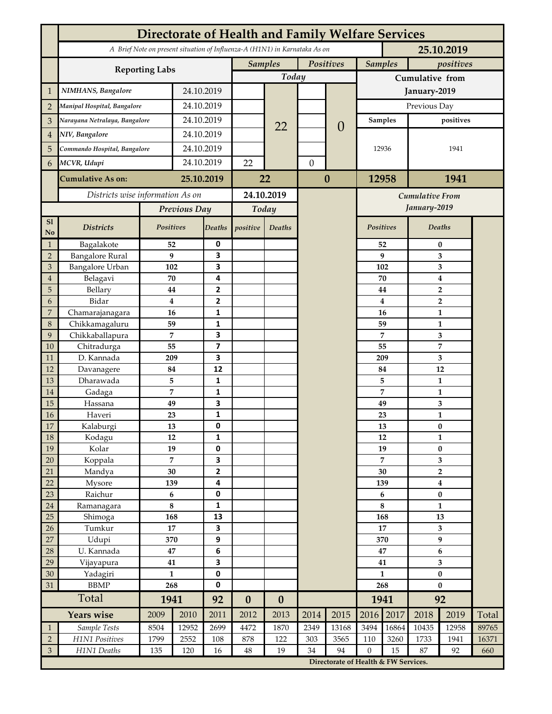|                               | <b>Directorate of Health and Family Welfare Services</b>                                 |                              |              |                   |                             |                  |                  |                                      |                             |                     |                                    |                                             |       |  |
|-------------------------------|------------------------------------------------------------------------------------------|------------------------------|--------------|-------------------|-----------------------------|------------------|------------------|--------------------------------------|-----------------------------|---------------------|------------------------------------|---------------------------------------------|-------|--|
|                               | A Brief Note on present situation of Influenza-A (H1N1) in Karnataka As on<br>25.10.2019 |                              |              |                   |                             |                  |                  |                                      |                             |                     |                                    |                                             |       |  |
|                               |                                                                                          |                              |              |                   | Positives<br><b>Samples</b> |                  |                  |                                      | <b>Samples</b><br>positives |                     |                                    |                                             |       |  |
|                               | <b>Reporting Labs</b>                                                                    |                              |              |                   | Today                       |                  |                  |                                      | Cumulative from             |                     |                                    |                                             |       |  |
| 1                             | NIMHANS, Bangalore                                                                       | 24.10.2019                   |              |                   |                             |                  |                  | January-2019                         |                             |                     |                                    |                                             |       |  |
| $\overline{2}$                | Manipal Hospital, Bangalore                                                              |                              |              | 24.10.2019        |                             |                  |                  |                                      | Previous Day                |                     |                                    |                                             |       |  |
| 3                             | Narayana Netralaya, Bangalore                                                            |                              |              | 24.10.2019        |                             |                  |                  |                                      | Samples                     |                     | positives                          |                                             |       |  |
| $\overline{4}$                | NIV, Bangalore                                                                           |                              | 24.10.2019   |                   |                             | 22               |                  | $\theta$                             |                             |                     |                                    |                                             |       |  |
| 5                             |                                                                                          | Commando Hospital, Bangalore |              | 24.10.2019        |                             |                  |                  |                                      | 12936                       |                     | 1941                               |                                             |       |  |
|                               | MCVR, Udupi                                                                              |                              | 24.10.2019   |                   | 22                          |                  |                  |                                      |                             |                     |                                    |                                             |       |  |
| 6                             |                                                                                          |                              |              |                   |                             |                  | $\boldsymbol{0}$ |                                      |                             |                     |                                    |                                             |       |  |
|                               | <b>Cumulative As on:</b>                                                                 | 25.10.2019                   |              | 22                |                             | $\boldsymbol{0}$ |                  | 12958<br>1941                        |                             |                     |                                    |                                             |       |  |
|                               | Districts wise information As on                                                         |                              |              | 24.10.2019        |                             |                  |                  | <b>Cumulative From</b>               |                             |                     |                                    |                                             |       |  |
|                               |                                                                                          | Previous Day                 |              | Today             |                             |                  |                  |                                      |                             | January-2019        |                                    |                                             |       |  |
| S1<br>No                      | <b>Districts</b>                                                                         | Positives                    |              | Deaths            | positive                    | Deaths           |                  |                                      | Positives                   |                     | <b>Deaths</b>                      |                                             |       |  |
| $\mathbf{1}$                  | Bagalakote                                                                               | 52                           |              | 0                 |                             |                  |                  |                                      |                             | 52                  | $\bf{0}$                           |                                             |       |  |
| $\overline{2}$                | <b>Bangalore Rural</b>                                                                   | 9                            |              | 3                 |                             |                  |                  |                                      |                             | 9                   | 3                                  |                                             |       |  |
| 3                             | <b>Bangalore Urban</b>                                                                   | 102                          |              | 3<br>4            |                             |                  |                  |                                      |                             | 102                 | 3                                  |                                             |       |  |
| $\overline{4}$<br>5           | Belagavi<br>Bellary                                                                      | 70<br>44                     |              | 2                 |                             |                  |                  |                                      |                             | 70<br>44            | $\boldsymbol{4}$<br>$\overline{2}$ |                                             |       |  |
| 6                             | Bidar                                                                                    |                              | 4            | 2                 |                             |                  |                  |                                      | $\bf{4}$                    | 2                   |                                    |                                             |       |  |
| 7                             | Chamarajanagara                                                                          |                              | 16           | 1                 |                             |                  |                  |                                      | 16                          |                     |                                    | $\mathbf{1}$                                |       |  |
| 8                             | Chikkamagaluru                                                                           | 59                           |              | $\mathbf{1}$      |                             |                  |                  |                                      | 59<br>7                     |                     |                                    | $\mathbf{1}$                                |       |  |
| 9                             | Chikkaballapura                                                                          | 7                            |              | 3                 |                             |                  |                  |                                      |                             |                     |                                    | 3                                           |       |  |
| 10                            | Chitradurga                                                                              | 55                           |              | 7                 |                             |                  |                  |                                      |                             | 55                  | 7                                  |                                             |       |  |
| 11                            | D. Kannada                                                                               | 209                          |              | 3                 |                             |                  |                  |                                      |                             | 209                 | 3                                  |                                             |       |  |
| 12                            | Davanagere                                                                               | 84                           |              | 12                |                             |                  |                  |                                      |                             | 84                  | 12<br>$\mathbf{1}$                 |                                             |       |  |
| 13<br>14                      | Dharawada<br>Gadaga                                                                      | 5<br>7                       |              | $\mathbf{1}$<br>1 |                             |                  |                  |                                      |                             | 5<br>$\overline{7}$ |                                    | $\mathbf{1}$                                |       |  |
| 15                            | Hassana                                                                                  | 49                           |              | 3                 |                             |                  |                  |                                      | 49                          |                     | 3                                  |                                             |       |  |
| 16                            | Haveri                                                                                   | 23                           |              | 1                 |                             |                  |                  |                                      |                             | 23                  | $\mathbf{1}$                       |                                             |       |  |
| 17                            | Kalaburgi                                                                                | 13                           |              | 0                 |                             |                  |                  |                                      |                             | 13                  | $\bf{0}$                           |                                             |       |  |
| 18                            | Kodagu                                                                                   | 12                           |              | 1                 |                             |                  |                  |                                      |                             | 12                  |                                    | $\mathbf{1}$                                |       |  |
| 19                            | Kolar                                                                                    | 19                           |              | 0                 |                             |                  |                  |                                      | 19                          |                     |                                    | $\pmb{0}$                                   |       |  |
| $20\,$                        | Koppala                                                                                  |                              | 7            | 3                 |                             |                  |                  |                                      | $\overline{7}$              |                     |                                    | 3                                           |       |  |
| 21<br>22                      | Mandya<br>Mysore                                                                         |                              | 30           | 2<br>4            |                             |                  |                  |                                      | 30<br>139                   |                     |                                    | $\overline{\mathbf{2}}$<br>$\boldsymbol{4}$ |       |  |
| 23                            | Raichur                                                                                  | 139<br>6                     |              | 0                 |                             |                  |                  |                                      | 6                           |                     | $\bf{0}$                           |                                             |       |  |
| 24                            | Ramanagara                                                                               | 8                            |              | $\mathbf{1}$      |                             |                  |                  |                                      | $\bf 8$                     |                     | $\mathbf{1}$                       |                                             |       |  |
| 25                            | Shimoga                                                                                  | 168                          |              | 13                |                             |                  |                  |                                      | 168                         |                     | 13                                 |                                             |       |  |
| 26                            | Tumkur                                                                                   | $\bf 17$                     |              | 3                 |                             |                  |                  |                                      | 17                          |                     | $\mathbf{3}$                       |                                             |       |  |
| 27                            | Udupi                                                                                    | 370                          |              | 9                 |                             |                  |                  |                                      | 370                         |                     | 9                                  |                                             |       |  |
| 28                            | U. Kannada                                                                               | 47                           |              | 6                 |                             |                  |                  |                                      | 47                          |                     | 6                                  |                                             |       |  |
| 29                            | Vijayapura                                                                               | 41                           |              | 3                 |                             |                  |                  |                                      | 41                          |                     | 3                                  |                                             |       |  |
| $30\,$<br>$31\,$              | Yadagiri<br><b>BBMP</b>                                                                  | $\mathbf{1}$<br>268          |              | 0<br>$\mathbf 0$  |                             |                  |                  |                                      | $\mathbf{1}$<br>268         |                     | $\pmb{0}$<br>$\bf{0}$              |                                             |       |  |
|                               | Total                                                                                    | 1941                         |              | 92                |                             |                  |                  |                                      | 1941                        |                     | 92                                 |                                             |       |  |
|                               | Years wise                                                                               |                              | 2010<br>2009 |                   | $\boldsymbol{0}$<br>2012    | $\bf{0}$<br>2013 | 2014             | 2015                                 | 2016                        | 2017                | 2018                               | 2019                                        | Total |  |
|                               | Sample Tests                                                                             | 8504                         | 12952        | 2011<br>2699      | 4472                        | 1870             | 2349             | 13168                                | 3494                        | 16864               | 10435                              | 12958                                       | 89765 |  |
| $\mathbf 1$<br>$\overline{2}$ | H1N1 Positives                                                                           | 1799                         | 2552         | 108               | 878                         | 122              | 303              | 3565                                 | 110                         | 3260                | 1733                               | 1941                                        | 16371 |  |
| 3                             | H1N1 Deaths                                                                              | 135                          | 120          | 16                | 48                          | 19               | 34               | 94                                   | $\overline{0}$              | 15                  | 87                                 | 92                                          | 660   |  |
|                               |                                                                                          |                              |              |                   |                             |                  |                  | Directorate of Health & FW Services. |                             |                     |                                    |                                             |       |  |